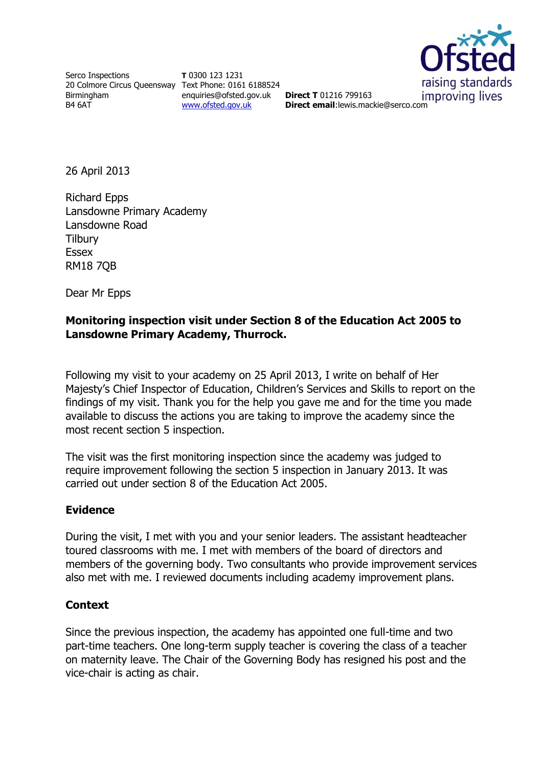

Serco Inspections 20 Colmore Circus Queensway Text Phone: 0161 6188524 Birmingham B4 6AT

**T** 0300 123 1231 enquiries@ofsted.gov.uk **Direct T** 01216 799163 [www.ofsted.gov.uk](http://www.ofsted.gov.uk/)

improving lives **Direct email**:lewis.mackie@serco.com

26 April 2013

Richard Epps Lansdowne Primary Academy Lansdowne Road **Tilbury** Essex RM18 7QB

Dear Mr Epps

### **Monitoring inspection visit under Section 8 of the Education Act 2005 to Lansdowne Primary Academy, Thurrock.**

Following my visit to your academy on 25 April 2013, I write on behalf of Her Majesty's Chief Inspector of Education, Children's Services and Skills to report on the findings of my visit. Thank you for the help you gave me and for the time you made available to discuss the actions you are taking to improve the academy since the most recent section 5 inspection.

The visit was the first monitoring inspection since the academy was judged to require improvement following the section 5 inspection in January 2013. It was carried out under section 8 of the Education Act 2005.

# **Evidence**

During the visit, I met with you and your senior leaders. The assistant headteacher toured classrooms with me. I met with members of the board of directors and members of the governing body. Two consultants who provide improvement services also met with me. I reviewed documents including academy improvement plans.

# **Context**

Since the previous inspection, the academy has appointed one full-time and two part-time teachers. One long-term supply teacher is covering the class of a teacher on maternity leave. The Chair of the Governing Body has resigned his post and the vice-chair is acting as chair.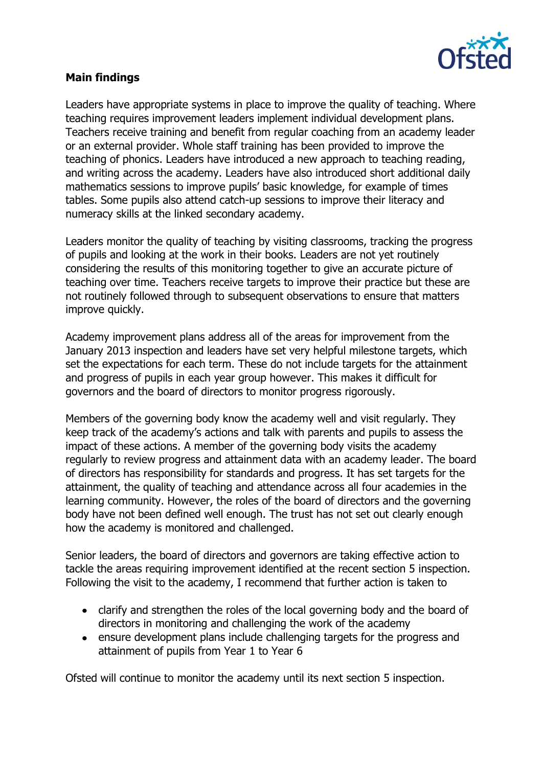

#### **Main findings**

Leaders have appropriate systems in place to improve the quality of teaching. Where teaching requires improvement leaders implement individual development plans. Teachers receive training and benefit from regular coaching from an academy leader or an external provider. Whole staff training has been provided to improve the teaching of phonics. Leaders have introduced a new approach to teaching reading, and writing across the academy. Leaders have also introduced short additional daily mathematics sessions to improve pupils' basic knowledge, for example of times tables. Some pupils also attend catch-up sessions to improve their literacy and numeracy skills at the linked secondary academy.

Leaders monitor the quality of teaching by visiting classrooms, tracking the progress of pupils and looking at the work in their books. Leaders are not yet routinely considering the results of this monitoring together to give an accurate picture of teaching over time. Teachers receive targets to improve their practice but these are not routinely followed through to subsequent observations to ensure that matters improve quickly.

Academy improvement plans address all of the areas for improvement from the January 2013 inspection and leaders have set very helpful milestone targets, which set the expectations for each term. These do not include targets for the attainment and progress of pupils in each year group however. This makes it difficult for governors and the board of directors to monitor progress rigorously.

Members of the governing body know the academy well and visit regularly. They keep track of the academy's actions and talk with parents and pupils to assess the impact of these actions. A member of the governing body visits the academy regularly to review progress and attainment data with an academy leader. The board of directors has responsibility for standards and progress. It has set targets for the attainment, the quality of teaching and attendance across all four academies in the learning community. However, the roles of the board of directors and the governing body have not been defined well enough. The trust has not set out clearly enough how the academy is monitored and challenged.

Senior leaders, the board of directors and governors are taking effective action to tackle the areas requiring improvement identified at the recent section 5 inspection. Following the visit to the academy, I recommend that further action is taken to

- clarify and strengthen the roles of the local governing body and the board of directors in monitoring and challenging the work of the academy
- ensure development plans include challenging targets for the progress and attainment of pupils from Year 1 to Year 6

Ofsted will continue to monitor the academy until its next section 5 inspection.